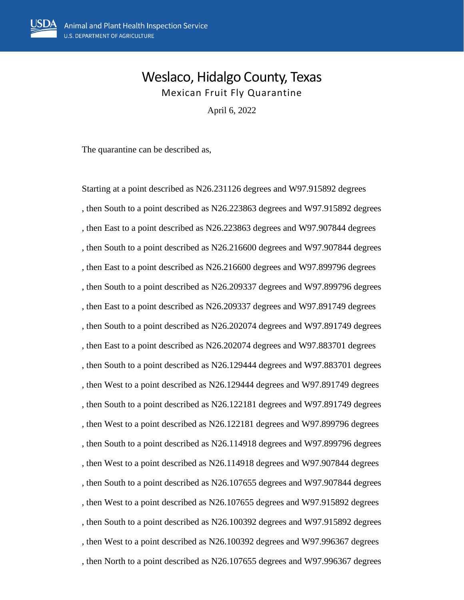## Weslaco, Hidalgo County, Texas Mexican Fruit Fly Quarantine

April 6, 2022

The quarantine can be described as,

Starting at a point described as N26.231126 degrees and W97.915892 degrees , then South to a point described as N26.223863 degrees and W97.915892 degrees , then East to a point described as N26.223863 degrees and W97.907844 degrees , then South to a point described as N26.216600 degrees and W97.907844 degrees , then East to a point described as N26.216600 degrees and W97.899796 degrees , then South to a point described as N26.209337 degrees and W97.899796 degrees , then East to a point described as N26.209337 degrees and W97.891749 degrees , then South to a point described as N26.202074 degrees and W97.891749 degrees , then East to a point described as N26.202074 degrees and W97.883701 degrees , then South to a point described as N26.129444 degrees and W97.883701 degrees , then West to a point described as N26.129444 degrees and W97.891749 degrees , then South to a point described as N26.122181 degrees and W97.891749 degrees , then West to a point described as N26.122181 degrees and W97.899796 degrees , then South to a point described as N26.114918 degrees and W97.899796 degrees , then West to a point described as N26.114918 degrees and W97.907844 degrees , then South to a point described as N26.107655 degrees and W97.907844 degrees , then West to a point described as N26.107655 degrees and W97.915892 degrees , then South to a point described as N26.100392 degrees and W97.915892 degrees , then West to a point described as N26.100392 degrees and W97.996367 degrees , then North to a point described as N26.107655 degrees and W97.996367 degrees